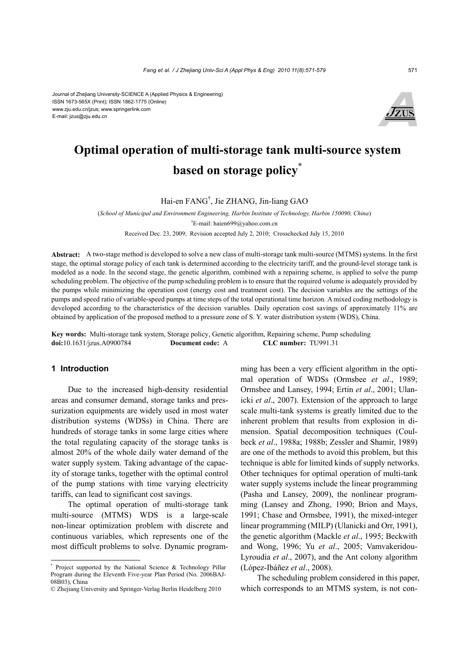#### Journal of Zhejiang University-SCIENCE A (Applied Physics & Engineering) ISSN 1673-565X (Print); ISSN 1862-1775 (Online) www.zju.edu.cn/jzus; www.springerlink.com E-mail: jzus@zju.edu.cn



# **Optimal operation of multi-storage tank multi-source system based on storage policy\***

Hai-en FANG† , Jie ZHANG, Jin-liang GAO

(*School of Municipal and Environment Engineering, Harbin Institute of Technology, Harbin 150090, China*) † E-mail: haien699@yahoo.com.cn Received Dec. 23, 2009; Revision accepted July 2, 2010; Crosschecked July 15, 2010

**Abstract:** A two-stage method is developed to solve a new class of multi-storage tank multi-source (MTMS) systems. In the first stage, the optimal storage policy of each tank is determined according to the electricity tariff, and the ground-level storage tank is modeled as a node. In the second stage, the genetic algorithm, combined with a repairing scheme, is applied to solve the pump scheduling problem. The objective of the pump scheduling problem is to ensure that the required volume is adequately provided by the pumps while minimizing the operation cost (energy cost and treatment cost). The decision variables are the settings of the pumps and speed ratio of variable-speed pumps at time steps of the total operational time horizon. A mixed coding methodology is developed according to the characteristics of the decision variables. Daily operation cost savings of approximately 11% are obtained by application of the proposed method to a pressure zone of S. Y. water distribution system (WDS), China.

**Key words:** Multi-storage tank system, Storage policy, Genetic algorithm, Repairing scheme, Pump scheduling **doi:**10.1631/jzus.A0900784 **Document code:** A **CLC number:** TU991.31

# **1 Introduction**

Due to the increased high-density residential areas and consumer demand, storage tanks and pressurization equipments are widely used in most water distribution systems (WDSs) in China. There are hundreds of storage tanks in some large cities where the total regulating capacity of the storage tanks is almost 20% of the whole daily water demand of the water supply system. Taking advantage of the capacity of storage tanks, together with the optimal control of the pump stations with time varying electricity tariffs, can lead to significant cost savings.

The optimal operation of multi-storage tank multi-source (MTMS) WDS is a large-scale non-linear optimization problem with discrete and continuous variables, which represents one of the most difficult problems to solve. Dynamic programming has been a very efficient algorithm in the optimal operation of WDSs (Ormsbee *et al*., 1989; Ormsbee and Lansey, 1994; Ertin *et al*., 2001; Ulanicki *et al*., 2007). Extension of the approach to large scale multi-tank systems is greatly limited due to the inherent problem that results from explosion in dimension. Spatial decomposition techniques (Coulbeck *et al*., 1988a; 1988b; Zessler and Shamir, 1989) are one of the methods to avoid this problem, but this technique is able for limited kinds of supply networks. Other techniques for optimal operation of multi-tank water supply systems include the linear programming (Pasha and Lansey, 2009), the nonlinear programming (Lansey and Zhong, 1990; Brion and Mays, 1991; Chase and Ormsbee, 1991), the mixed-integer linear programming (MILP) (Ulanicki and Orr, 1991), the genetic algorithm (Mackle *et al*., 1995; Beckwith and Wong, 1996; Yu *et al*., 2005; Vamvakeridou-Lyroudia *et al*., 2007), and the Ant colony algorithm (López-Ibáñez *et al*., 2008).

The scheduling problem considered in this paper, which corresponds to an MTMS system, is not con-

<sup>\*</sup> Project supported by the National Science & Technology Pillar Program during the Eleventh Five-year Plan Period (No. 2006BAJ-08B03), China

<sup>©</sup> Zhejiang University and Springer-Verlag Berlin Heidelberg 2010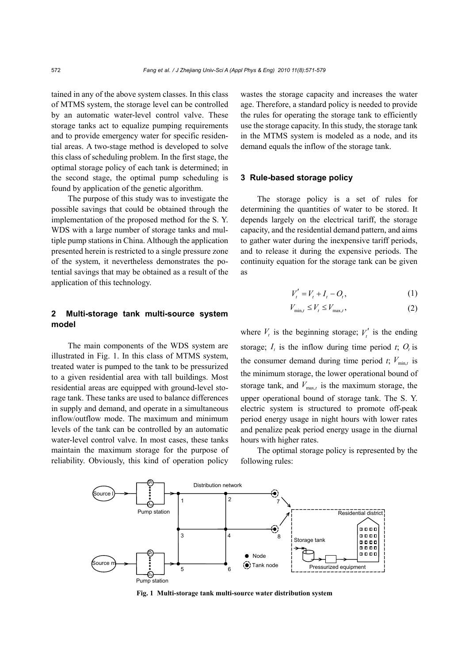tained in any of the above system classes. In this class of MTMS system, the storage level can be controlled by an automatic water-level control valve. These storage tanks act to equalize pumping requirements and to provide emergency water for specific residential areas. A two-stage method is developed to solve this class of scheduling problem. In the first stage, the optimal storage policy of each tank is determined; in the second stage, the optimal pump scheduling is found by application of the genetic algorithm.

The purpose of this study was to investigate the possible savings that could be obtained through the implementation of the proposed method for the S. Y. WDS with a large number of storage tanks and multiple pump stations in China. Although the application presented herein is restricted to a single pressure zone of the system, it nevertheless demonstrates the potential savings that may be obtained as a result of the application of this technology.

# **2 Multi-storage tank multi-source system model**

The main components of the WDS system are illustrated in Fig. 1. In this class of MTMS system, treated water is pumped to the tank to be pressurized to a given residential area with tall buildings. Most residential areas are equipped with ground-level storage tank. These tanks are used to balance differences in supply and demand, and operate in a simultaneous inflow/outflow mode. The maximum and minimum levels of the tank can be controlled by an automatic water-level control valve. In most cases, these tanks maintain the maximum storage for the purpose of reliability. Obviously, this kind of operation policy wastes the storage capacity and increases the water age. Therefore, a standard policy is needed to provide the rules for operating the storage tank to efficiently use the storage capacity. In this study, the storage tank in the MTMS system is modeled as a node, and its demand equals the inflow of the storage tank.

#### **3 Rule-based storage policy**

The storage policy is a set of rules for determining the quantities of water to be stored. It depends largely on the electrical tariff, the storage capacity, and the residential demand pattern, and aims to gather water during the inexpensive tariff periods, and to release it during the expensive periods. The continuity equation for the storage tank can be given as

$$
V'_{t} = V_{t} + I_{t} - O_{t}, \qquad (1)
$$

$$
V_{\min,t} \le V_t \le V_{\max,t},\tag{2}
$$

where  $V_t$  is the beginning storage;  $V_t'$  is the ending storage;  $I_t$  is the inflow during time period  $t$ ;  $O_t$  is the consumer demand during time period  $t$ ;  $V_{min,t}$  is the minimum storage, the lower operational bound of storage tank, and  $V_{\text{max}}$  is the maximum storage, the upper operational bound of storage tank. The S. Y. electric system is structured to promote off-peak period energy usage in night hours with lower rates and penalize peak period energy usage in the diurnal hours with higher rates.

The optimal storage policy is represented by the following rules:



**Fig. 1 Multi-storage tank multi-source water distribution system**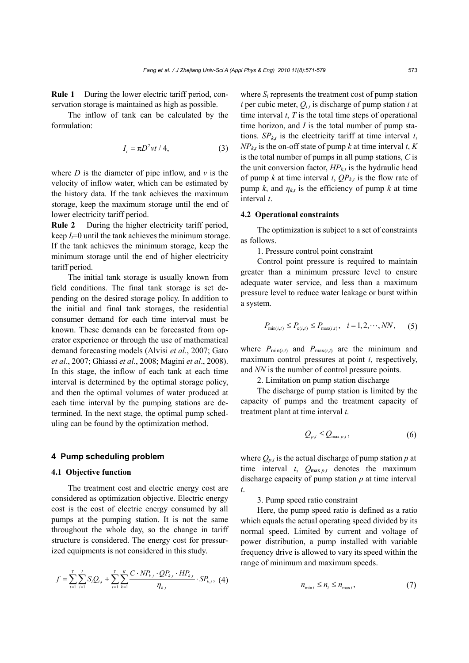**Rule 1** During the lower electric tariff period, conservation storage is maintained as high as possible.

The inflow of tank can be calculated by the formulation:

$$
I_t = \pi D^2 vt / 4, \qquad (3)
$$

where  $D$  is the diameter of pipe inflow, and  $\nu$  is the velocity of inflow water, which can be estimated by the history data. If the tank achieves the maximum storage, keep the maximum storage until the end of lower electricity tariff period.

**Rule 2** During the higher electricity tariff period, keep  $I_t=0$  until the tank achieves the minimum storage. If the tank achieves the minimum storage, keep the minimum storage until the end of higher electricity tariff period.

The initial tank storage is usually known from field conditions. The final tank storage is set depending on the desired storage policy. In addition to the initial and final tank storages, the residential consumer demand for each time interval must be known. These demands can be forecasted from operator experience or through the use of mathematical demand forecasting models (Alvisi *et al*., 2007; Gato *et al*., 2007; Ghiassi *et al*., 2008; Magini *et al*., 2008). In this stage, the inflow of each tank at each time interval is determined by the optimal storage policy, and then the optimal volumes of water produced at each time interval by the pumping stations are determined. In the next stage, the optimal pump scheduling can be found by the optimization method.

#### **4 Pump scheduling problem**

#### **4.1 Objective function**

The treatment cost and electric energy cost are considered as optimization objective. Electric energy cost is the cost of electric energy consumed by all pumps at the pumping station. It is not the same throughout the whole day, so the change in tariff structure is considered. The energy cost for pressurized equipments is not considered in this study.

$$
f = \sum_{t=1}^{T} \sum_{i=1}^{I} S_i Q_{i,t} + \sum_{t=1}^{T} \sum_{k=1}^{K} \frac{C \cdot NP_{k,t} \cdot QP_{k,t} \cdot HP_{k,t}}{\eta_{k,t}} \cdot SP_{k,t}, \tag{4}
$$

where  $S_i$  represents the treatment cost of pump station *i* per cubic meter,  $Q_{i,t}$  is discharge of pump station *i* at time interval *t*, *T* is the total time steps of operational time horizon, and *I* is the total number of pump stations.  $SP_{kt}$  is the electricity tariff at time interval *t*,  $NP_{kt}$  is the on-off state of pump *k* at time interval *t*, *K* is the total number of pumps in all pump stations, *C* is the unit conversion factor,  $HP_{k,t}$  is the hydraulic head of pump *k* at time interval *t*,  $QP_{kt}$  is the flow rate of pump *k*, and  $\eta_{kt}$  is the efficiency of pump *k* at time interval *t*.

## **4.2 Operational constraints**

The optimization is subject to a set of constraints as follows.

1. Pressure control point constraint

Control point pressure is required to maintain greater than a minimum pressure level to ensure adequate water service, and less than a maximum pressure level to reduce water leakage or burst within a system.

$$
P_{\min(i,t)} \le P_{c(i,t)} \le P_{\max(i,t)}, \quad i = 1, 2, \cdots, NN,
$$
 (5)

where  $P_{\min(i,t)}$  and  $P_{\max(i,t)}$  are the minimum and maximum control pressures at point *i*, respectively, and *NN* is the number of control pressure points.

2. Limitation on pump station discharge

The discharge of pump station is limited by the capacity of pumps and the treatment capacity of treatment plant at time interval *t*.

$$
Q_{p,t} \le Q_{\max p,t},\tag{6}
$$

where  $Q_{p,t}$  is the actual discharge of pump station  $p$  at time interval  $t$ ,  $Q_{\text{max }p,t}$  denotes the maximum discharge capacity of pump station *p* at time interval *t*.

#### 3. Pump speed ratio constraint

Here, the pump speed ratio is defined as a ratio which equals the actual operating speed divided by its normal speed. Limited by current and voltage of power distribution, a pump installed with variable frequency drive is allowed to vary its speed within the range of minimum and maximum speeds.

$$
n_{\min i} \le n_i \le n_{\max i},\tag{7}
$$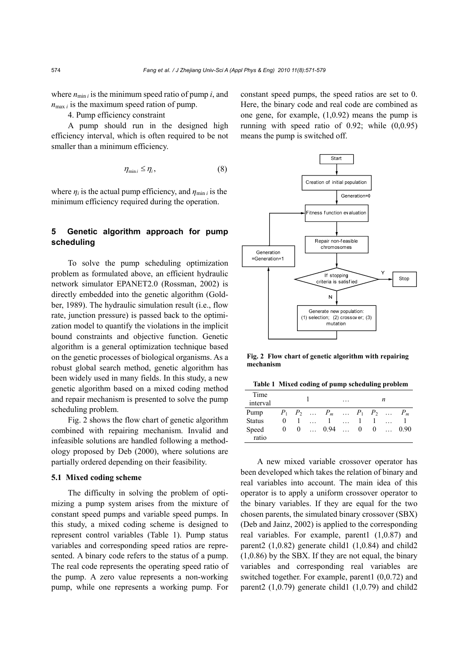where  $n_{\min i}$  is the minimum speed ratio of pump *i*, and  $n_{\text{max }i}$  is the maximum speed ration of pump.

4. Pump efficiency constraint

A pump should run in the designed high efficiency interval, which is often required to be not smaller than a minimum efficiency.

$$
\eta_{\min i} \le \eta_i,\tag{8}
$$

where  $\eta_i$  is the actual pump efficiency, and  $\eta_{\min i}$  is the minimum efficiency required during the operation.

# **5 Genetic algorithm approach for pump scheduling**

To solve the pump scheduling optimization problem as formulated above, an efficient hydraulic network simulator EPANET2.0 (Rossman, 2002) is directly embedded into the genetic algorithm (Goldber, 1989). The hydraulic simulation result (i.e., flow rate, junction pressure) is passed back to the optimization model to quantify the violations in the implicit bound constraints and objective function. Genetic algorithm is a general optimization technique based on the genetic processes of biological organisms. As a robust global search method, genetic algorithm has been widely used in many fields. In this study, a new genetic algorithm based on a mixed coding method and repair mechanism is presented to solve the pump scheduling problem.

Fig. 2 shows the flow chart of genetic algorithm combined with repairing mechanism. Invalid and infeasible solutions are handled following a methodology proposed by Deb (2000), where solutions are partially ordered depending on their feasibility.

### **5.1 Mixed coding scheme**

The difficulty in solving the problem of optimizing a pump system arises from the mixture of constant speed pumps and variable speed pumps. In this study, a mixed coding scheme is designed to represent control variables (Table 1). Pump status variables and corresponding speed ratios are represented. A binary code refers to the status of a pump. The real code represents the operating speed ratio of the pump. A zero value represents a non-working pump, while one represents a working pump. For

constant speed pumps, the speed ratios are set to 0. Here, the binary code and real code are combined as one gene, for example, (1,0.92) means the pump is running with speed ratio of 0.92; while (0,0.95) means the pump is switched off.



**Fig. 2 Flow chart of genetic algorithm with repairing mechanism**

**Table 1 Mixed coding of pump scheduling problem** 

| Time<br>interval |          |          |          |                               | . | n      |          |          |      |
|------------------|----------|----------|----------|-------------------------------|---|--------|----------|----------|------|
| Pump             |          |          |          | $P_1$ $P_2$ $P_m$ $P_1$ $P_2$ |   |        |          | $\cdots$ |      |
| <b>Status</b>    | 0        |          |          |                               |   |        |          |          |      |
| Speed<br>ratio   | $\bf{0}$ | $\theta$ | $\cdots$ | 0.94                          |   | $_{0}$ | $\theta$ |          | 0.90 |

A new mixed variable crossover operator has been developed which takes the relation of binary and real variables into account. The main idea of this operator is to apply a uniform crossover operator to the binary variables. If they are equal for the two chosen parents, the simulated binary crossover (SBX) (Deb and Jainz, 2002) is applied to the corresponding real variables. For example, parent1 (1,0.87) and parent2  $(1,0.82)$  generate child1  $(1,0.84)$  and child2 (1,0.86) by the SBX. If they are not equal, the binary variables and corresponding real variables are switched together. For example, parent1 (0,0.72) and parent2  $(1,0.79)$  generate child1  $(1,0.79)$  and child2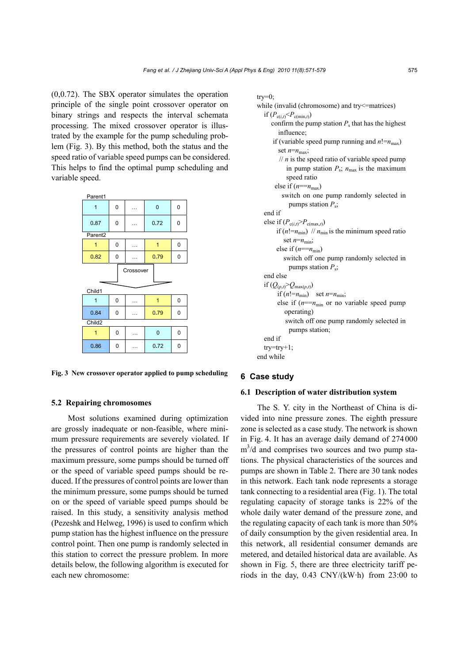(0,0.72). The SBX operator simulates the operation principle of the single point crossover operator on binary strings and respects the interval schemata processing. The mixed crossover operator is illustrated by the example for the pump scheduling problem (Fig. 3). By this method, both the status and the speed ratio of variable speed pumps can be considered. This helps to find the optimal pump scheduling and variable speed.



**Fig. 3 New crossover operator applied to pump scheduling**

## **5.2 Repairing chromosomes**

Most solutions examined during optimization are grossly inadequate or non-feasible, where minimum pressure requirements are severely violated. If the pressures of control points are higher than the maximum pressure, some pumps should be turned off or the speed of variable speed pumps should be reduced. If the pressures of control points are lower than the minimum pressure, some pumps should be turned on or the speed of variable speed pumps should be raised. In this study, a sensitivity analysis method (Pezeshk and Helweg, 1996) is used to confirm which pump station has the highest influence on the pressure control point. Then one pump is randomly selected in this station to correct the pressure problem. In more details below, the following algorithm is executed for each new chromosome:

#### $try=0;$

while (invalid (chromosome) and try<sup><=matrices)</sup> if  $(P_{c(i,t)} < P_{c(min,t)})$ confirm the pump station  $P_s$  that has the highest influence; if (variable speed pump running and  $n! = n_{\text{max}}$ ) set  $n=n_{\text{max}}$ ;  $\frac{1}{n}$  is the speed ratio of variable speed pump in pump station  $P_s$ ;  $n_{\text{max}}$  is the maximum speed ratio else if  $(n == n_{max})$  switch on one pump randomly selected in pumps station *P*s; end if else if  $(P_{c(i,t)} > P_{c(max,t)})$ if  $(n! = n_{\min})$  //  $n_{\min}$  is the minimum speed ratio set  $n=n_{\text{min}}$ ; else if  $(n=-n_{\min})$  switch off one pump randomly selected in pumps station *P*s; end else if  $(Q_{(p,t)} > Q_{\max(p,t)})$ if  $(n! = n_{min})$  set  $n = n_{min}$ ; else if  $(n == n_{min}$  or no variable speed pump operating) switch off one pump randomly selected in pumps station; end if try=try+1; end while

### **6 Case study**

## **6.1 Description of water distribution system**

The S. Y. city in the Northeast of China is divided into nine pressure zones. The eighth pressure zone is selected as a case study. The network is shown in Fig. 4. It has an average daily demand of 274000  $m<sup>3</sup>/d$  and comprises two sources and two pump stations. The physical characteristics of the sources and pumps are shown in Table 2. There are 30 tank nodes in this network. Each tank node represents a storage tank connecting to a residential area (Fig. 1). The total regulating capacity of storage tanks is 22% of the whole daily water demand of the pressure zone, and the regulating capacity of each tank is more than 50% of daily consumption by the given residential area. In this network, all residential consumer demands are metered, and detailed historical data are available. As shown in Fig. 5, there are three electricity tariff periods in the day, 0.43 CNY/(kW·h) from 23:00 to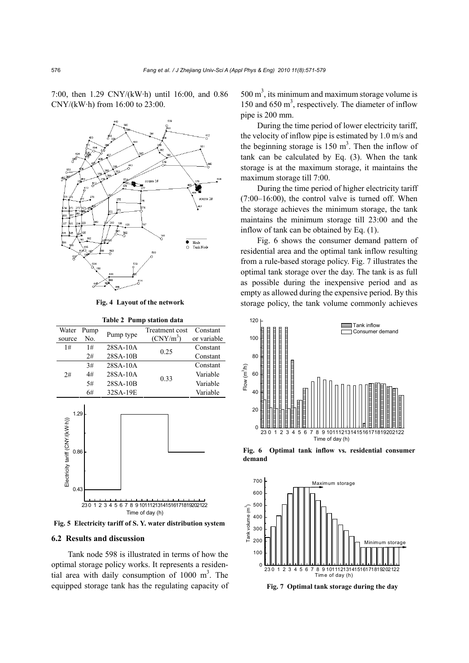7:00, then 1.29 CNY/(kW·h) until 16:00, and 0.86 CNY/(kW·h) from 16:00 to 23:00.



**Fig. 4 Layout of the network**

**Table 2 Pump station data** 

| Water  | Pump | Pump type  | Treatment cost | Constant    |
|--------|------|------------|----------------|-------------|
| source | No.  |            | $(CNY/m^3)$    | or variable |
| 1#     | 1#   | 28SA-10A   | 0.25           | Constant    |
|        | 2#   | 28SA-10B   |                | Constant    |
|        | 3#   | $28SA-10A$ |                | Constant    |
| 2#     | 4#   | 28SA-10A   | 0.33           | Variable    |
|        | 5#   | 28SA-10B   |                | Variable    |
|        | 6#   | 32SA-19E   |                | Variable    |



#### **6.2 Results and discussion**

Tank node 598 is illustrated in terms of how the optimal storage policy works. It represents a residential area with daily consumption of  $1000 \text{ m}^3$ . The equipped storage tank has the regulating capacity of

 $500 \text{ m}^3$ , its minimum and maximum storage volume is 150 and 650 m<sup>3</sup>, respectively. The diameter of inflow pipe is 200 mm.

During the time period of lower electricity tariff, the velocity of inflow pipe is estimated by 1.0 m/s and the beginning storage is  $150 \text{ m}^3$ . Then the inflow of tank can be calculated by Eq. (3). When the tank storage is at the maximum storage, it maintains the maximum storage till 7:00.

During the time period of higher electricity tariff (7:00–16:00), the control valve is turned off. When the storage achieves the minimum storage, the tank maintains the minimum storage till 23:00 and the inflow of tank can be obtained by Eq. (1).

Fig. 6 shows the consumer demand pattern of residential area and the optimal tank inflow resulting from a rule-based storage policy. Fig. 7 illustrates the optimal tank storage over the day. The tank is as full as possible during the inexpensive period and as empty as allowed during the expensive period. By this storage policy, the tank volume commonly achieves



**Fig. 6 Optimal tank inflow vs. residential consumer demand**



**Fig. 7 Optimal tank storage during the day**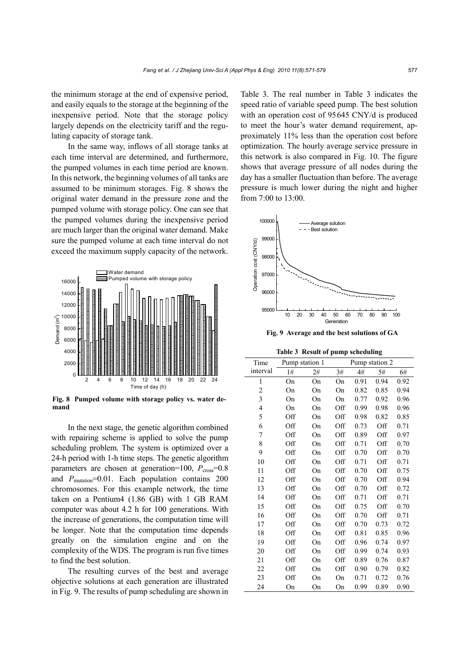the minimum storage at the end of expensive period, and easily equals to the storage at the beginning of the inexpensive period. Note that the storage policy largely depends on the electricity tariff and the regulating capacity of storage tank.

In the same way, inflows of all storage tanks at each time interval are determined, and furthermore, the pumped volumes in each time period are known. In this network, the beginning volumes of all tanks are assumed to be minimum storages. Fig. 8 shows the original water demand in the pressure zone and the pumped volume with storage policy. One can see that the pumped volumes during the inexpensive period are much larger than the original water demand. Make sure the pumped volume at each time interval do not exceed the maximum supply capacity of the network.



**Fig. 8 Pumped volume with storage policy vs. water demand**

In the next stage, the genetic algorithm combined with repairing scheme is applied to solve the pump scheduling problem. The system is optimized over a 24-h period with 1-h time steps. The genetic algorithm parameters are chosen at generation=100,  $P_{cross}=0.8$ and  $P_{\text{mutation}}=0.01$ . Each population contains 200 chromosomes. For this example network, the time taken on a Pentium4 (1.86 GB) with 1 GB RAM computer was about 4.2 h for 100 generations. With the increase of generations, the computation time will be longer. Note that the computation time depends greatly on the simulation engine and on the complexity of the WDS. The program is run five times to find the best solution.

The resulting curves of the best and average objective solutions at each generation are illustrated in Fig. 9. The results of pump scheduling are shown in Table 3. The real number in Table 3 indicates the speed ratio of variable speed pump. The best solution with an operation cost of 95645 CNY/d is produced to meet the hour's water demand requirement, approximately 11% less than the operation cost before optimization. The hourly average service pressure in this network is also compared in Fig. 10. The figure shows that average pressure of all nodes during the day has a smaller fluctuation than before. The average pressure is much lower during the night and higher from 7:00 to 13:00.



**Fig. 9 Average and the best solutions of GA** 

**Table 3 Result of pump scheduling** 

| Time           | Pump station 1 |    | Pump station 2 |      |      |      |
|----------------|----------------|----|----------------|------|------|------|
| interval       | 1#             | 2# | 3#             | 4#   | 5#   | 6#   |
| $\mathbf{1}$   | On             | On | On             | 0.91 | 0.94 | 0.92 |
| 2              | On             | On | On             | 0.82 | 0.85 | 0.94 |
| $\mathfrak{Z}$ | On             | On | On             | 0.77 | 0.92 | 0.96 |
| $\overline{4}$ | On             | On | Off            | 0.99 | 0.98 | 0.96 |
| 5              | Off            | On | Off            | 0.98 | 0.82 | 0.85 |
| 6              | Off            | On | Off            | 0.73 | Off  | 0.71 |
| 7              | Off            | On | Off            | 0.89 | Off  | 0.97 |
| 8              | Off            | On | Off            | 0.71 | Off  | 0.70 |
| 9              | Off            | On | Off            | 0.70 | Off  | 0.70 |
| 10             | Off            | On | Off            | 0.71 | Off  | 0.71 |
| 11             | Off            | On | Off            | 0.70 | Off  | 0.75 |
| 12             | Off            | On | Off            | 0.70 | Off  | 0.94 |
| 13             | Off            | On | Off            | 0.70 | Off  | 0.72 |
| 14             | Off            | On | Off            | 0.71 | Off  | 0.71 |
| 15             | Off            | On | Off            | 0.75 | Off  | 0.70 |
| 16             | Off            | On | Off            | 0.70 | Off  | 0.71 |
| 17             | Off            | On | Off            | 0.70 | 0.73 | 0.72 |
| 18             | Off            | On | Off            | 0.81 | 0.85 | 0.96 |
| 19             | Off            | On | Off            | 0.96 | 0.74 | 0.97 |
| 20             | Off            | On | Off            | 0.99 | 0.74 | 0.93 |
| 21             | Off            | On | Off            | 0.89 | 0.76 | 0.87 |
| 22             | Off            | On | Off            | 0.90 | 0.79 | 0.82 |
| 23             | Off            | On | On             | 0.71 | 0.72 | 0.76 |
| 24             | On             | On | On             | 0.99 | 0.89 | 0.90 |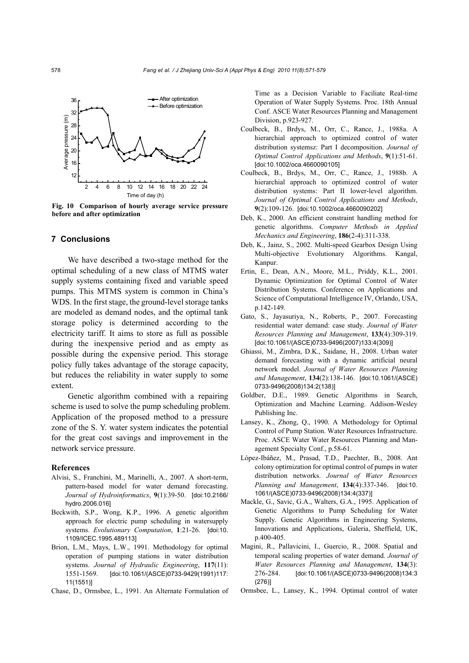

**Fig. 10 Comparison of hourly average service pressure before and after optimization**

### **7 Conclusions**

We have described a two-stage method for the optimal scheduling of a new class of MTMS water supply systems containing fixed and variable speed pumps. This MTMS system is common in China's WDS. In the first stage, the ground-level storage tanks are modeled as demand nodes, and the optimal tank storage policy is determined according to the electricity tariff. It aims to store as full as possible during the inexpensive period and as empty as possible during the expensive period. This storage policy fully takes advantage of the storage capacity, but reduces the reliability in water supply to some extent.

Genetic algorithm combined with a repairing scheme is used to solve the pump scheduling problem. Application of the proposed method to a pressure zone of the S. Y. water system indicates the potential for the great cost savings and improvement in the network service pressure.

#### **References**

- Alvisi, S., Franchini, M., Marinelli, A., 2007. A short-term, pattern-based model for water demand forecasting. *Journal of Hydroinformatics*, **9**(1):39-50. [doi:10.2166/ hydro.2006.016]
- Beckwith, S.P., Wong, K.P., 1996. A genetic algorithm approach for electric pump scheduling in watersupply systems. *Evolutionary Computation*, **1**:21-26. [doi:10. 1109/ICEC.1995.489113]
- Brion, L.M., Mays, L.W., 1991. Methodology for optimal operation of pumping stations in water distribution systems. *Journal of Hydraulic Engineering*, **117**(11): 1551-1569. [doi:10.1061/(ASCE)0733-9429(1991)117: 11(1551)]

Chase, D., Ormsbee, L., 1991. An Alternate Formulation of

Time as a Decision Variable to Faciliate Real-time Operation of Water Supply Systems. Proc. 18th Annual Conf. ASCE Water Resources Planning and Management Division, p.923-927.

- Coulbeck, B., Brdys, M., Orr, C., Rance, J., 1988a. A hierarchial approach to optimized control of water distribution systemsz: Part I decomposition. *Journal of Optimal Control Applications and Methods*, **9**(1):51-61. [doi:10.1002/oca.4660090105]
- Coulbeck, B., Brdys, M., Orr, C., Rance, J., 1988b. A hierarchial approach to optimized control of water distribution systems: Part II lower-level algorithm. *Journal of Optimal Control Applications and Methods*, **9**(2):109-126. [doi:10.1002/oca.4660090202]
- Deb, K., 2000. An efficient constraint handling method for genetic algorithms. *Computer Methods in Applied Mechanics and Engineering*, **186**(2-4):311-338.
- Deb, K., Jainz, S., 2002. Multi-speed Gearbox Design Using Multi-objective Evolutionary Algorithms. Kangal, Kanpur.
- Ertin, E., Dean, A.N., Moore, M.L., Priddy, K.L., 2001. Dynamic Optimization for Optimal Control of Water Distribution Systems. Conference on Applications and Science of Computational Intelligence IV, Orlando, USA, p.142-149.
- Gato, S., Jayasuriya, N., Roberts, P., 2007. Forecasting residential water demand: case study. *Journal of Water Resources Planning and Management*, **133**(4):309-319. [doi:10.1061/(ASCE)0733-9496(2007)133:4(309)]
- Ghiassi, M., Zimbra, D.K., Saidane, H., 2008. Urban water demand forecasting with a dynamic artificial neural network model. *Journal of Water Resources Planning and Management*, **134**(2):138-146. [doi:10.1061/(ASCE) 0733-9496(2008)134:2(138)]
- Goldber, D.E., 1989. Genetic Algorithms in Search, Optimization and Machine Learning. Addison-Wesley Publishing Inc.
- Lansey, K., Zhong, Q., 1990. A Methodology for Optimal Control of Pump Station. Water Resources Infrastructure. Proc. ASCE Water Water Resources Planning and Management Specialty Conf., p.58-61.
- López-Ibáñez, M., Prasad, T.D., Paechter, B., 2008. Ant colony optimization for optimal control of pumps in water distribution networks. *Journal of Water Resources Planning and Management*, **134**(4):337-346. [doi:10. 1061/(ASCE)0733-9496(2008)134:4(337)]
- Mackle, G., Savic, G.A., Walters, G.A., 1995. Application of Genetic Algorithms to Pump Scheduling for Water Supply. Genetic Algorithms in Engineering Systems, Innovations and Applications, Galeria, Sheffield, UK, p.400-405.
- Magini, R., Pallavicini, I., Guercio, R., 2008. Spatial and temporal scaling properties of water demand. *Journal of Water Resources Planning and Management*, **134**(3): 276-284. [doi:10.1061/(ASCE)0733-9496(2008)134:3 (276)]
- Ormsbee, L., Lansey, K., 1994. Optimal control of water